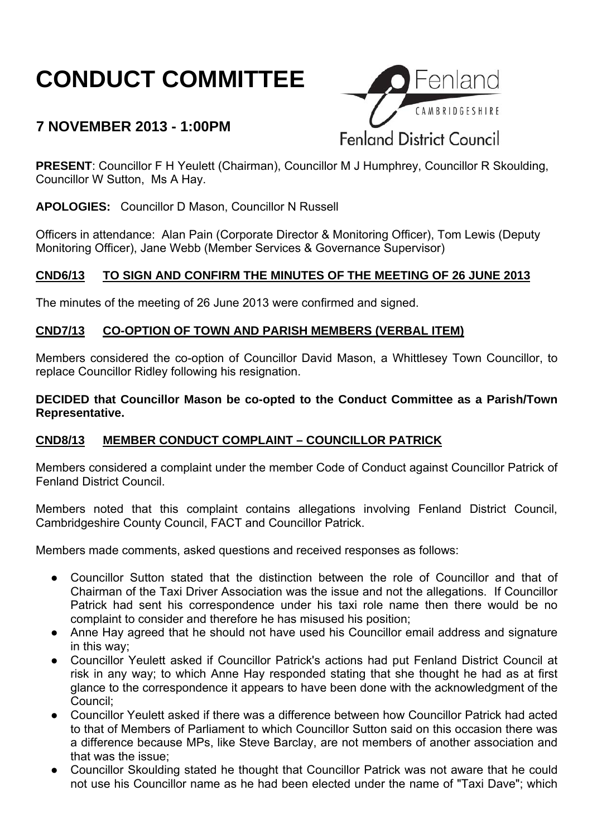# **CONDUCT COMMITTEE**

# **7 NOVEMBER 2013 - 1:00PM**



**PRESENT**: Councillor F H Yeulett (Chairman), Councillor M J Humphrey, Councillor R Skoulding, Councillor W Sutton, Ms A Hay.

**APOLOGIES:** Councillor D Mason, Councillor N Russell

Officers in attendance: Alan Pain (Corporate Director & Monitoring Officer), Tom Lewis (Deputy Monitoring Officer), Jane Webb (Member Services & Governance Supervisor)

### **CND6/13 TO SIGN AND CONFIRM THE MINUTES OF THE MEETING OF 26 JUNE 2013**

The minutes of the meeting of 26 June 2013 were confirmed and signed.

### **CND7/13 CO-OPTION OF TOWN AND PARISH MEMBERS (VERBAL ITEM)**

Members considered the co-option of Councillor David Mason, a Whittlesey Town Councillor, to replace Councillor Ridley following his resignation.

**DECIDED that Councillor Mason be co-opted to the Conduct Committee as a Parish/Town Representative.**

## **CND8/13 MEMBER CONDUCT COMPLAINT – COUNCILLOR PATRICK**

Members considered a complaint under the member Code of Conduct against Councillor Patrick of Fenland District Council.

Members noted that this complaint contains allegations involving Fenland District Council, Cambridgeshire County Council, FACT and Councillor Patrick.

Members made comments, asked questions and received responses as follows:

- Councillor Sutton stated that the distinction between the role of Councillor and that of Chairman of the Taxi Driver Association was the issue and not the allegations. If Councillor Patrick had sent his correspondence under his taxi role name then there would be no complaint to consider and therefore he has misused his position;
- Anne Hay agreed that he should not have used his Councillor email address and signature in this way;
- Councillor Yeulett asked if Councillor Patrick's actions had put Fenland District Council at risk in any way; to which Anne Hay responded stating that she thought he had as at first glance to the correspondence it appears to have been done with the acknowledgment of the Council;
- Councillor Yeulett asked if there was a difference between how Councillor Patrick had acted to that of Members of Parliament to which Councillor Sutton said on this occasion there was a difference because MPs, like Steve Barclay, are not members of another association and that was the issue;
- Councillor Skoulding stated he thought that Councillor Patrick was not aware that he could not use his Councillor name as he had been elected under the name of "Taxi Dave"; which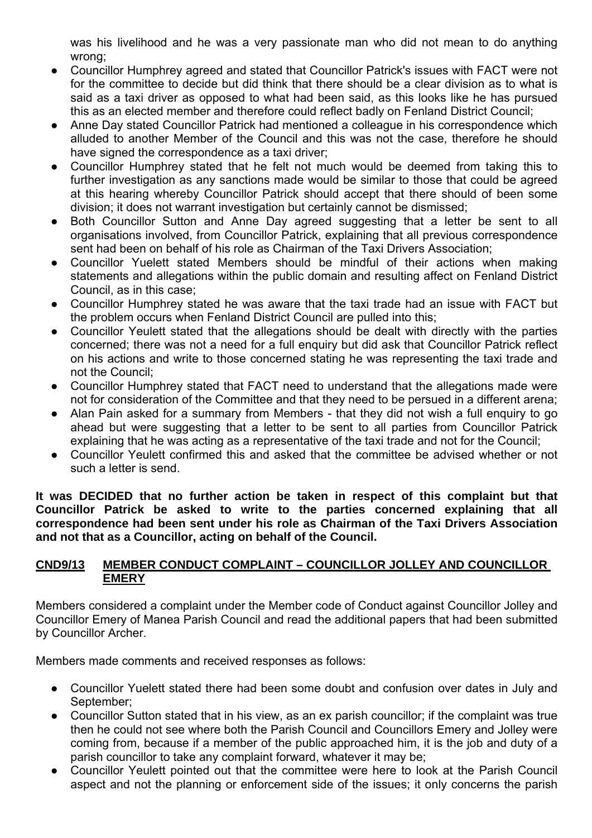was his livelihood and he was a very passionate man who did not mean to do anything wrong;

- Councillor Humphrey agreed and stated that Councillor Patrick's issues with FACT were not for the committee to decide but did think that there should be a clear division as to what is said as a taxi driver as opposed to what had been said, as this looks like he has pursued this as an elected member and therefore could reflect badly on Fenland District Council;
- Anne Day stated Councillor Patrick had mentioned a colleague in his correspondence which alluded to another Member of the Council and this was not the case, therefore he should have signed the correspondence as a taxi driver;
- Councillor Humphrey stated that he felt not much would be deemed from taking this to further investigation as any sanctions made would be similar to those that could be agreed at this hearing whereby Councillor Patrick should accept that there should of been some division; it does not warrant investigation but certainly cannot be dismissed;
- Both Councillor Sutton and Anne Day agreed suggesting that a letter be sent to all organisations involved, from Councillor Patrick, explaining that all previous correspondence sent had been on behalf of his role as Chairman of the Taxi Drivers Association;
- Councillor Yuelett stated Members should be mindful of their actions when making statements and allegations within the public domain and resulting affect on Fenland District Council, as in this case;
- Councillor Humphrey stated he was aware that the taxi trade had an issue with FACT but the problem occurs when Fenland District Council are pulled into this;
- Councillor Yeulett stated that the allegations should be dealt with directly with the parties concerned; there was not a need for a full enquiry but did ask that Councillor Patrick reflect on his actions and write to those concerned stating he was representing the taxi trade and not the Council;
- Councillor Humphrey stated that FACT need to understand that the allegations made were not for consideration of the Committee and that they need to be persued in a different arena;
- Alan Pain asked for a summary from Members that they did not wish a full enquiry to go ahead but were suggesting that a letter to be sent to all parties from Councillor Patrick explaining that he was acting as a representative of the taxi trade and not for the Council;
- Councillor Yeulett confirmed this and asked that the committee be advised whether or not such a letter is send.

**It was DECIDED that no further action be taken in respect of this complaint but that Councillor Patrick be asked to write to the parties concerned explaining that all correspondence had been sent under his role as Chairman of the Taxi Drivers Association and not that as a Councillor, acting on behalf of the Council.**

#### **CND9/13 MEMBER CONDUCT COMPLAINT – COUNCILLOR JOLLEY AND COUNCILLOR EMERY**

Members considered a complaint under the Member code of Conduct against Councillor Jolley and Councillor Emery of Manea Parish Council and read the additional papers that had been submitted by Councillor Archer.

Members made comments and received responses as follows:

- Councillor Yuelett stated there had been some doubt and confusion over dates in July and September;
- Councillor Sutton stated that in his view, as an ex parish councillor; if the complaint was true then he could not see where both the Parish Council and Councillors Emery and Jolley were coming from, because if a member of the public approached him, it is the job and duty of a parish councillor to take any complaint forward, whatever it may be;
- Councillor Yeulett pointed out that the committee were here to look at the Parish Council aspect and not the planning or enforcement side of the issues; it only concerns the parish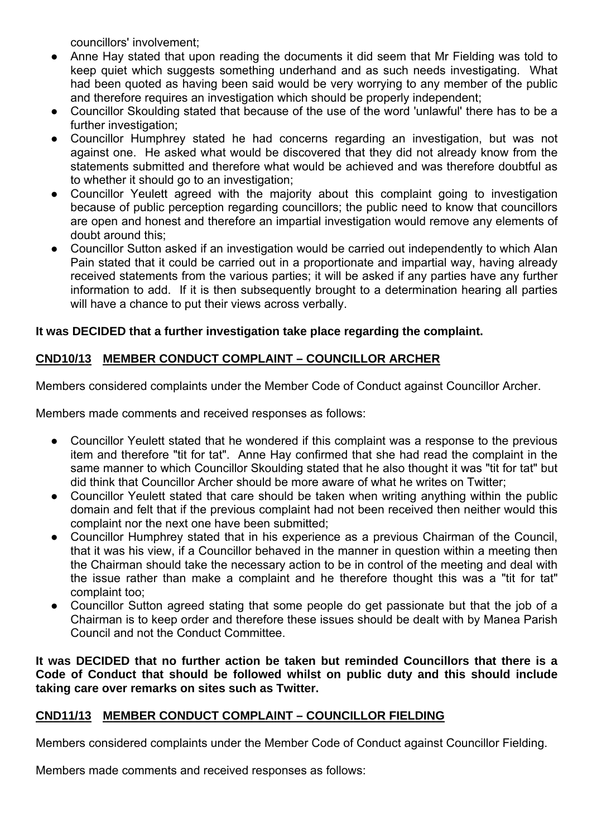councillors' involvement;

- Anne Hay stated that upon reading the documents it did seem that Mr Fielding was told to keep quiet which suggests something underhand and as such needs investigating. What had been quoted as having been said would be very worrying to any member of the public and therefore requires an investigation which should be properly independent;
- Councillor Skoulding stated that because of the use of the word 'unlawful' there has to be a further investigation;
- Councillor Humphrey stated he had concerns regarding an investigation, but was not against one. He asked what would be discovered that they did not already know from the statements submitted and therefore what would be achieved and was therefore doubtful as to whether it should go to an investigation;
- Councillor Yeulett agreed with the majority about this complaint going to investigation because of public perception regarding councillors; the public need to know that councillors are open and honest and therefore an impartial investigation would remove any elements of doubt around this;
- Councillor Sutton asked if an investigation would be carried out independently to which Alan Pain stated that it could be carried out in a proportionate and impartial way, having already received statements from the various parties; it will be asked if any parties have any further information to add. If it is then subsequently brought to a determination hearing all parties will have a chance to put their views across verbally.

### **It was DECIDED that a further investigation take place regarding the complaint.**

### **CND10/13 MEMBER CONDUCT COMPLAINT – COUNCILLOR ARCHER**

Members considered complaints under the Member Code of Conduct against Councillor Archer.

Members made comments and received responses as follows:

- Councillor Yeulett stated that he wondered if this complaint was a response to the previous item and therefore "tit for tat". Anne Hay confirmed that she had read the complaint in the same manner to which Councillor Skoulding stated that he also thought it was "tit for tat" but did think that Councillor Archer should be more aware of what he writes on Twitter;
- Councillor Yeulett stated that care should be taken when writing anything within the public domain and felt that if the previous complaint had not been received then neither would this complaint nor the next one have been submitted;
- Councillor Humphrey stated that in his experience as a previous Chairman of the Council, that it was his view, if a Councillor behaved in the manner in question within a meeting then the Chairman should take the necessary action to be in control of the meeting and deal with the issue rather than make a complaint and he therefore thought this was a "tit for tat" complaint too;
- Councillor Sutton agreed stating that some people do get passionate but that the job of a Chairman is to keep order and therefore these issues should be dealt with by Manea Parish Council and not the Conduct Committee.

**It was DECIDED that no further action be taken but reminded Councillors that there is a Code of Conduct that should be followed whilst on public duty and this should include taking care over remarks on sites such as Twitter.**

### **CND11/13 MEMBER CONDUCT COMPLAINT – COUNCILLOR FIELDING**

Members considered complaints under the Member Code of Conduct against Councillor Fielding.

Members made comments and received responses as follows: